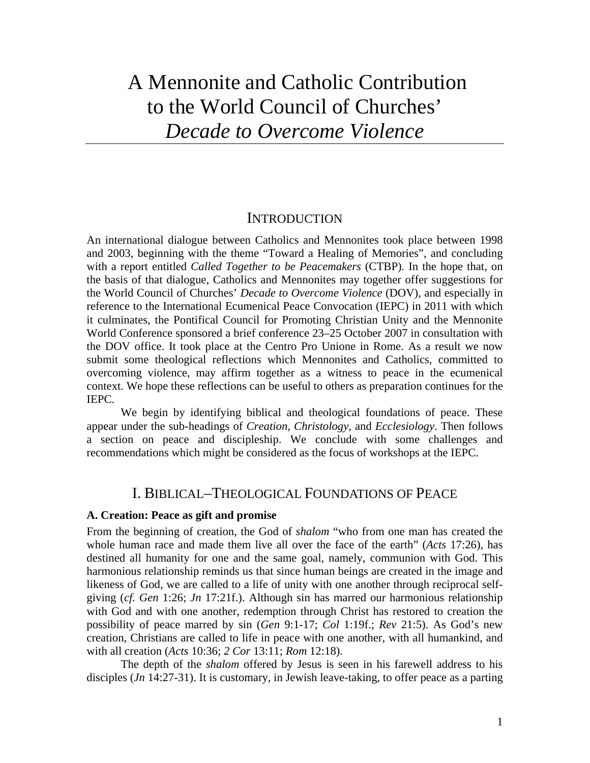# A Mennonite and Catholic Contribution to the World Council of Churches' *Decade to Overcome Violence*

# INTRODUCTION

An international dialogue between Catholics and Mennonites took place between 1998 and 2003, beginning with the theme "Toward a Healing of Memories", and concluding with a report entitled *Called Together to be Peacemakers* (CTBP)*.* In the hope that, on the basis of that dialogue, Catholics and Mennonites may together offer suggestions for the World Council of Churches' *Decade to Overcome Violence* (DOV)*,* and especially in reference to the International Ecumenical Peace Convocation (IEPC) in 2011 with which it culminates, the Pontifical Council for Promoting Christian Unity and the Mennonite World Conference sponsored a brief conference 23–25 October 2007 in consultation with the DOV office. It took place at the Centro Pro Unione in Rome. As a result we now submit some theological reflections which Mennonites and Catholics, committed to overcoming violence, may affirm together as a witness to peace in the ecumenical context. We hope these reflections can be useful to others as preparation continues for the IEPC.

We begin by identifying biblical and theological foundations of peace. These appear under the sub-headings of *Creation, Christology*, and *Ecclesiology*. Then follows a section on peace and discipleship. We conclude with some challenges and recommendations which might be considered as the focus of workshops at the IEPC.

# I. BIBLICAL–THEOLOGICAL FOUNDATIONS OF PEACE

### **A. Creation: Peace as gift and promise**

From the beginning of creation, the God of *shalom* "who from one man has created the whole human race and made them live all over the face of the earth" (*Acts* 17:26), has destined all humanity for one and the same goal, namely, communion with God. This harmonious relationship reminds us that since human beings are created in the image and likeness of God, we are called to a life of unity with one another through reciprocal selfgiving (*cf. Gen* 1:26; *Jn* 17:21f.). Although sin has marred our harmonious relationship with God and with one another, redemption through Christ has restored to creation the possibility of peace marred by sin (*Gen* 9:1-17; *Col* 1:19f.; *Rev* 21:5). As God's new creation, Christians are called to life in peace with one another, with all humankind, and with all creation (*Acts* 10:36; *2 Cor* 13:11; *Rom* 12:18).

The depth of the *shalom* offered by Jesus is seen in his farewell address to his disciples (*Jn* 14:27-31). It is customary, in Jewish leave-taking, to offer peace as a parting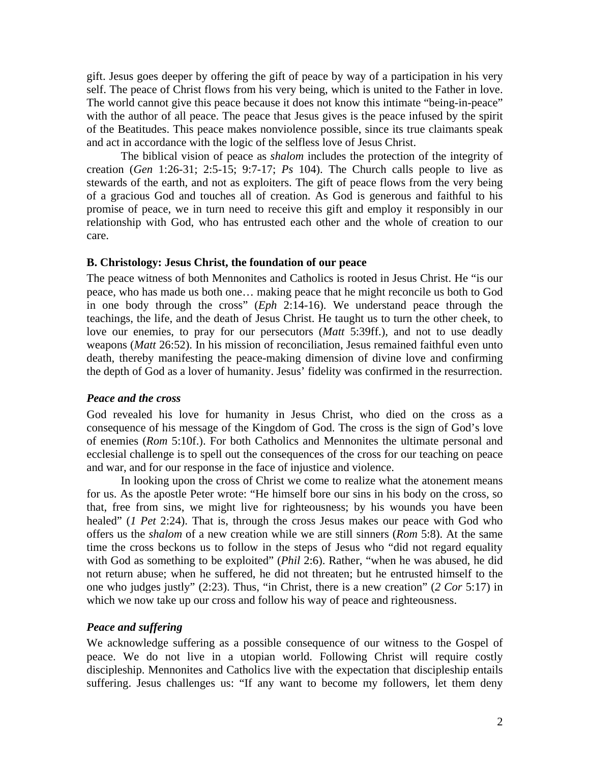gift. Jesus goes deeper by offering the gift of peace by way of a participation in his very self. The peace of Christ flows from his very being, which is united to the Father in love. The world cannot give this peace because it does not know this intimate "being-in-peace" with the author of all peace. The peace that Jesus gives is the peace infused by the spirit of the Beatitudes. This peace makes nonviolence possible, since its true claimants speak and act in accordance with the logic of the selfless love of Jesus Christ.

The biblical vision of peace as *shalom* includes the protection of the integrity of creation (*Gen* 1:26-31; 2:5-15; 9:7-17; *Ps* 104). The Church calls people to live as stewards of the earth, and not as exploiters. The gift of peace flows from the very being of a gracious God and touches all of creation. As God is generous and faithful to his promise of peace, we in turn need to receive this gift and employ it responsibly in our relationship with God, who has entrusted each other and the whole of creation to our care.

### **B. Christology: Jesus Christ, the foundation of our peace**

The peace witness of both Mennonites and Catholics is rooted in Jesus Christ. He "is our peace, who has made us both one… making peace that he might reconcile us both to God in one body through the cross" (*Eph* 2:14-16). We understand peace through the teachings, the life, and the death of Jesus Christ. He taught us to turn the other cheek, to love our enemies, to pray for our persecutors (*Matt* 5:39ff.), and not to use deadly weapons (*Matt* 26:52). In his mission of reconciliation, Jesus remained faithful even unto death, thereby manifesting the peace-making dimension of divine love and confirming the depth of God as a lover of humanity. Jesus' fidelity was confirmed in the resurrection.

### *Peace and the cross*

God revealed his love for humanity in Jesus Christ, who died on the cross as a consequence of his message of the Kingdom of God. The cross is the sign of God's love of enemies (*Rom* 5:10f.). For both Catholics and Mennonites the ultimate personal and ecclesial challenge is to spell out the consequences of the cross for our teaching on peace and war, and for our response in the face of injustice and violence.

In looking upon the cross of Christ we come to realize what the atonement means for us. As the apostle Peter wrote: "He himself bore our sins in his body on the cross, so that, free from sins, we might live for righteousness; by his wounds you have been healed" (*1 Pet* 2:24). That is, through the cross Jesus makes our peace with God who offers us the *shalom* of a new creation while we are still sinners (*Rom* 5:8). At the same time the cross beckons us to follow in the steps of Jesus who "did not regard equality with God as something to be exploited" (*Phil* 2:6). Rather, "when he was abused, he did not return abuse; when he suffered, he did not threaten; but he entrusted himself to the one who judges justly" (2:23). Thus, "in Christ, there is a new creation" (*2 Cor* 5:17) in which we now take up our cross and follow his way of peace and righteousness.

### *Peace and suffering*

We acknowledge suffering as a possible consequence of our witness to the Gospel of peace. We do not live in a utopian world. Following Christ will require costly discipleship. Mennonites and Catholics live with the expectation that discipleship entails suffering. Jesus challenges us: "If any want to become my followers, let them deny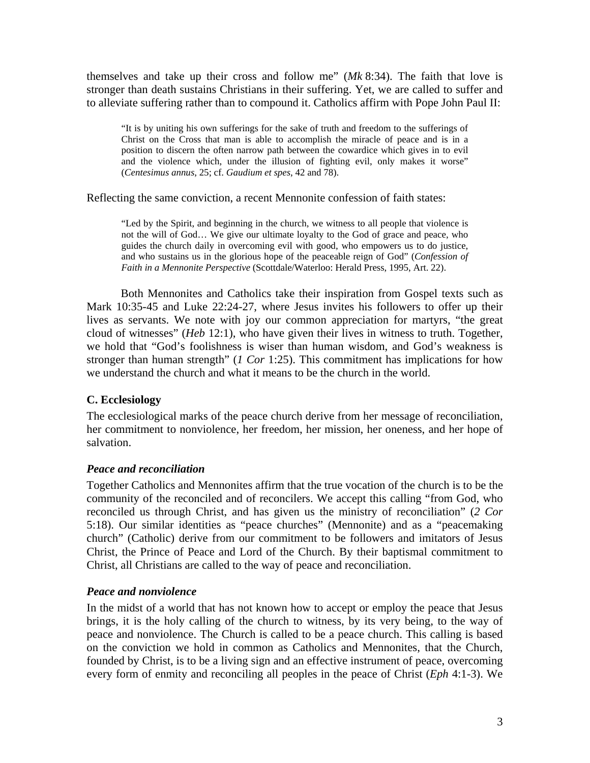themselves and take up their cross and follow me" (*Mk* 8:34). The faith that love is stronger than death sustains Christians in their suffering. Yet, we are called to suffer and to alleviate suffering rather than to compound it. Catholics affirm with Pope John Paul II:

"It is by uniting his own sufferings for the sake of truth and freedom to the sufferings of Christ on the Cross that man is able to accomplish the miracle of peace and is in a position to discern the often narrow path between the cowardice which gives in to evil and the violence which, under the illusion of fighting evil, only makes it worse" (*Centesimus annus*, 25; cf. *Gaudium et spes*, 42 and 78).

Reflecting the same conviction, a recent Mennonite confession of faith states:

"Led by the Spirit, and beginning in the church, we witness to all people that violence is not the will of God… We give our ultimate loyalty to the God of grace and peace, who guides the church daily in overcoming evil with good, who empowers us to do justice, and who sustains us in the glorious hope of the peaceable reign of God" (*Confession of Faith in a Mennonite Perspective* (Scottdale/Waterloo: Herald Press, 1995, Art. 22).

Both Mennonites and Catholics take their inspiration from Gospel texts such as Mark 10:35-45 and Luke 22:24-27, where Jesus invites his followers to offer up their lives as servants. We note with joy our common appreciation for martyrs, "the great cloud of witnesses" (*Heb* 12:1), who have given their lives in witness to truth. Together, we hold that "God's foolishness is wiser than human wisdom, and God's weakness is stronger than human strength" (*1 Cor* 1:25). This commitment has implications for how we understand the church and what it means to be the church in the world.

# **C. Ecclesiology**

The ecclesiological marks of the peace church derive from her message of reconciliation, her commitment to nonviolence, her freedom, her mission, her oneness, and her hope of salvation.

# *Peace and reconciliation*

Together Catholics and Mennonites affirm that the true vocation of the church is to be the community of the reconciled and of reconcilers. We accept this calling "from God, who reconciled us through Christ, and has given us the ministry of reconciliation" (*2 Cor*  5:18). Our similar identities as "peace churches" (Mennonite) and as a "peacemaking church" (Catholic) derive from our commitment to be followers and imitators of Jesus Christ, the Prince of Peace and Lord of the Church. By their baptismal commitment to Christ, all Christians are called to the way of peace and reconciliation.

# *Peace and nonviolence*

In the midst of a world that has not known how to accept or employ the peace that Jesus brings, it is the holy calling of the church to witness, by its very being, to the way of peace and nonviolence. The Church is called to be a peace church. This calling is based on the conviction we hold in common as Catholics and Mennonites, that the Church, founded by Christ, is to be a living sign and an effective instrument of peace, overcoming every form of enmity and reconciling all peoples in the peace of Christ (*Eph* 4:1-3). We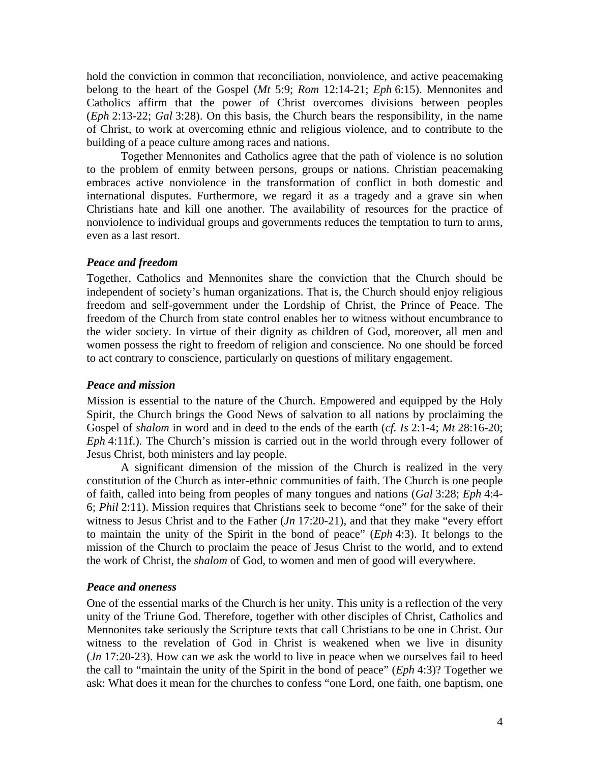hold the conviction in common that reconciliation, nonviolence, and active peacemaking belong to the heart of the Gospel (*Mt* 5:9; *Rom* 12:14-21; *Eph* 6:15). Mennonites and Catholics affirm that the power of Christ overcomes divisions between peoples (*Eph* 2:13-22; *Gal* 3:28). On this basis, the Church bears the responsibility, in the name of Christ, to work at overcoming ethnic and religious violence, and to contribute to the building of a peace culture among races and nations.

Together Mennonites and Catholics agree that the path of violence is no solution to the problem of enmity between persons, groups or nations. Christian peacemaking embraces active nonviolence in the transformation of conflict in both domestic and international disputes. Furthermore, we regard it as a tragedy and a grave sin when Christians hate and kill one another. The availability of resources for the practice of nonviolence to individual groups and governments reduces the temptation to turn to arms, even as a last resort.

### *Peace and freedom*

Together, Catholics and Mennonites share the conviction that the Church should be independent of society's human organizations. That is, the Church should enjoy religious freedom and self-government under the Lordship of Christ, the Prince of Peace. The freedom of the Church from state control enables her to witness without encumbrance to the wider society. In virtue of their dignity as children of God, moreover, all men and women possess the right to freedom of religion and conscience. No one should be forced to act contrary to conscience, particularly on questions of military engagement.

#### *Peace and mission*

Mission is essential to the nature of the Church. Empowered and equipped by the Holy Spirit, the Church brings the Good News of salvation to all nations by proclaiming the Gospel of *shalom* in word and in deed to the ends of the earth (*cf. Is* 2:1-4; *Mt* 28:16-20; *Eph* 4:11f.). The Church's mission is carried out in the world through every follower of Jesus Christ, both ministers and lay people.

A significant dimension of the mission of the Church is realized in the very constitution of the Church as inter-ethnic communities of faith. The Church is one people of faith, called into being from peoples of many tongues and nations (*Gal* 3:28; *Eph* 4:4- 6; *Phil* 2:11). Mission requires that Christians seek to become "one" for the sake of their witness to Jesus Christ and to the Father (*Jn* 17:20-21), and that they make "every effort to maintain the unity of the Spirit in the bond of peace" (*Eph* 4:3). It belongs to the mission of the Church to proclaim the peace of Jesus Christ to the world, and to extend the work of Christ, the *shalom* of God, to women and men of good will everywhere.

### *Peace and oneness*

One of the essential marks of the Church is her unity. This unity is a reflection of the very unity of the Triune God. Therefore, together with other disciples of Christ, Catholics and Mennonites take seriously the Scripture texts that call Christians to be one in Christ. Our witness to the revelation of God in Christ is weakened when we live in disunity (*Jn* 17:20-23). How can we ask the world to live in peace when we ourselves fail to heed the call to "maintain the unity of the Spirit in the bond of peace" (*Eph* 4:3)? Together we ask: What does it mean for the churches to confess "one Lord, one faith, one baptism, one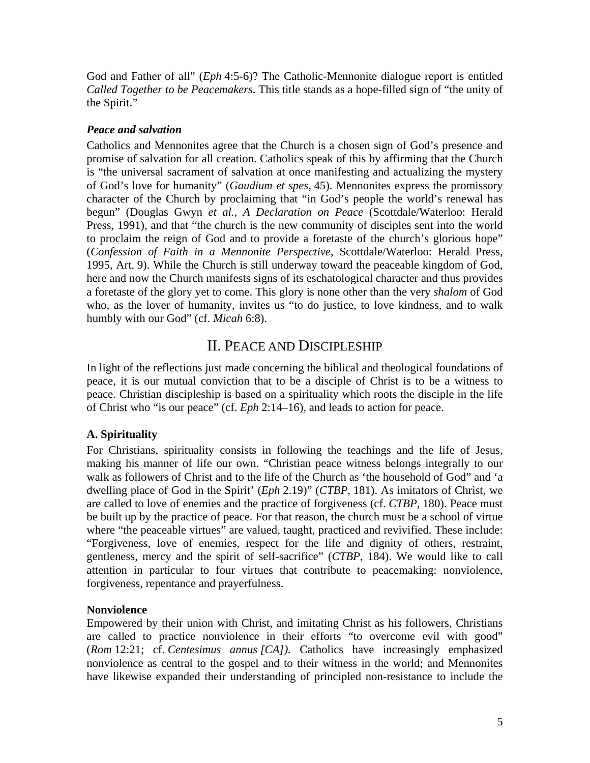God and Father of all" (*Eph* 4:5-6)? The Catholic-Mennonite dialogue report is entitled *Called Together to be Peacemakers*. This title stands as a hope-filled sign of "the unity of the Spirit."

# *Peace and salvation*

Catholics and Mennonites agree that the Church is a chosen sign of God's presence and promise of salvation for all creation. Catholics speak of this by affirming that the Church is "the universal sacrament of salvation at once manifesting and actualizing the mystery of God's love for humanity" (*Gaudium et spes*, 45). Mennonites express the promissory character of the Church by proclaiming that "in God's people the world's renewal has begun" (Douglas Gwyn *et al., A Declaration on Peace* (Scottdale/Waterloo: Herald Press, 1991), and that "the church is the new community of disciples sent into the world to proclaim the reign of God and to provide a foretaste of the church's glorious hope" (*Confession of Faith in a Mennonite Perspective*, Scottdale/Waterloo: Herald Press, 1995, Art. 9). While the Church is still underway toward the peaceable kingdom of God, here and now the Church manifests signs of its eschatological character and thus provides a foretaste of the glory yet to come. This glory is none other than the very *shalom* of God who, as the lover of humanity, invites us "to do justice, to love kindness, and to walk humbly with our God" (cf. *Micah* 6:8).

# II. PEACE AND DISCIPLESHIP

In light of the reflections just made concerning the biblical and theological foundations of peace, it is our mutual conviction that to be a disciple of Christ is to be a witness to peace. Christian discipleship is based on a spirituality which roots the disciple in the life of Christ who "is our peace" (cf. *Eph* 2:14–16), and leads to action for peace.

# **A. Spirituality**

For Christians, spirituality consists in following the teachings and the life of Jesus, making his manner of life our own. "Christian peace witness belongs integrally to our walk as followers of Christ and to the life of the Church as 'the household of God" and 'a dwelling place of God in the Spirit' (*Eph* 2.19)" (*CTBP,* 181). As imitators of Christ, we are called to love of enemies and the practice of forgiveness (cf. *CTBP,* 180). Peace must be built up by the practice of peace. For that reason, the church must be a school of virtue where "the peaceable virtues" are valued, taught, practiced and revivified. These include: "Forgiveness, love of enemies, respect for the life and dignity of others, restraint, gentleness, mercy and the spirit of self-sacrifice" (*CTBP*, 184). We would like to call attention in particular to four virtues that contribute to peacemaking: nonviolence, forgiveness, repentance and prayerfulness.

# **Nonviolence**

Empowered by their union with Christ, and imitating Christ as his followers, Christians are called to practice nonviolence in their efforts "to overcome evil with good" (*Rom* 12:21; cf. *Centesimus annus [CA]).* Catholics have increasingly emphasized nonviolence as central to the gospel and to their witness in the world; and Mennonites have likewise expanded their understanding of principled non-resistance to include the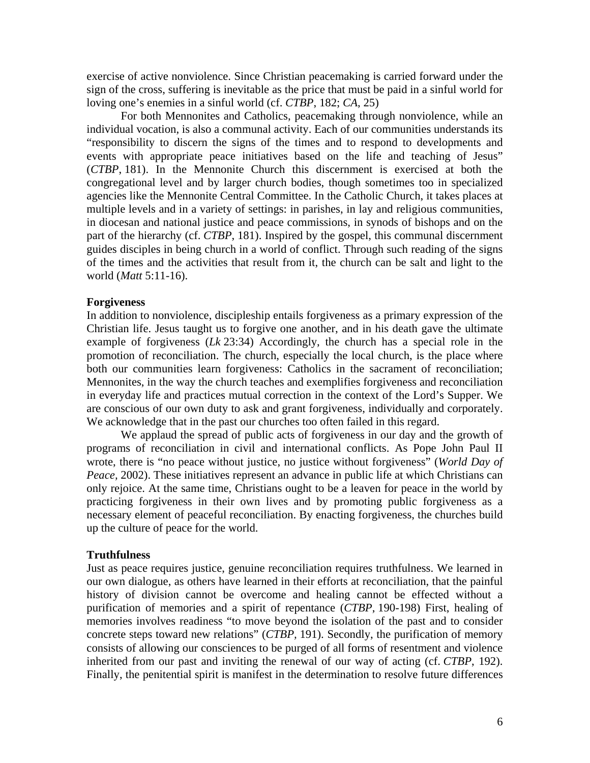exercise of active nonviolence. Since Christian peacemaking is carried forward under the sign of the cross, suffering is inevitable as the price that must be paid in a sinful world for loving one's enemies in a sinful world (cf. *CTBP*, 182; *CA*, 25)

For both Mennonites and Catholics, peacemaking through nonviolence, while an individual vocation, is also a communal activity. Each of our communities understands its "responsibility to discern the signs of the times and to respond to developments and events with appropriate peace initiatives based on the life and teaching of Jesus" (*CTBP*, 181). In the Mennonite Church this discernment is exercised at both the congregational level and by larger church bodies, though sometimes too in specialized agencies like the Mennonite Central Committee. In the Catholic Church, it takes places at multiple levels and in a variety of settings: in parishes, in lay and religious communities, in diocesan and national justice and peace commissions, in synods of bishops and on the part of the hierarchy (cf. *CTBP*, 181). Inspired by the gospel, this communal discernment guides disciples in being church in a world of conflict. Through such reading of the signs of the times and the activities that result from it, the church can be salt and light to the world (*Matt* 5:11-16).

### **Forgiveness**

In addition to nonviolence, discipleship entails forgiveness as a primary expression of the Christian life. Jesus taught us to forgive one another, and in his death gave the ultimate example of forgiveness (*Lk* 23:34) Accordingly, the church has a special role in the promotion of reconciliation. The church, especially the local church, is the place where both our communities learn forgiveness: Catholics in the sacrament of reconciliation; Mennonites, in the way the church teaches and exemplifies forgiveness and reconciliation in everyday life and practices mutual correction in the context of the Lord's Supper. We are conscious of our own duty to ask and grant forgiveness, individually and corporately. We acknowledge that in the past our churches too often failed in this regard.

We applaud the spread of public acts of forgiveness in our day and the growth of programs of reconciliation in civil and international conflicts. As Pope John Paul II wrote, there is "no peace without justice, no justice without forgiveness" (*World Day of Peace,* 2002). These initiatives represent an advance in public life at which Christians can only rejoice. At the same time, Christians ought to be a leaven for peace in the world by practicing forgiveness in their own lives and by promoting public forgiveness as a necessary element of peaceful reconciliation. By enacting forgiveness, the churches build up the culture of peace for the world.

#### **Truthfulness**

Just as peace requires justice, genuine reconciliation requires truthfulness. We learned in our own dialogue, as others have learned in their efforts at reconciliation, that the painful history of division cannot be overcome and healing cannot be effected without a purification of memories and a spirit of repentance (*CTBP*, 190-198) First, healing of memories involves readiness "to move beyond the isolation of the past and to consider concrete steps toward new relations" (*CTBP,* 191). Secondly, the purification of memory consists of allowing our consciences to be purged of all forms of resentment and violence inherited from our past and inviting the renewal of our way of acting (cf. *CTBP*, 192). Finally, the penitential spirit is manifest in the determination to resolve future differences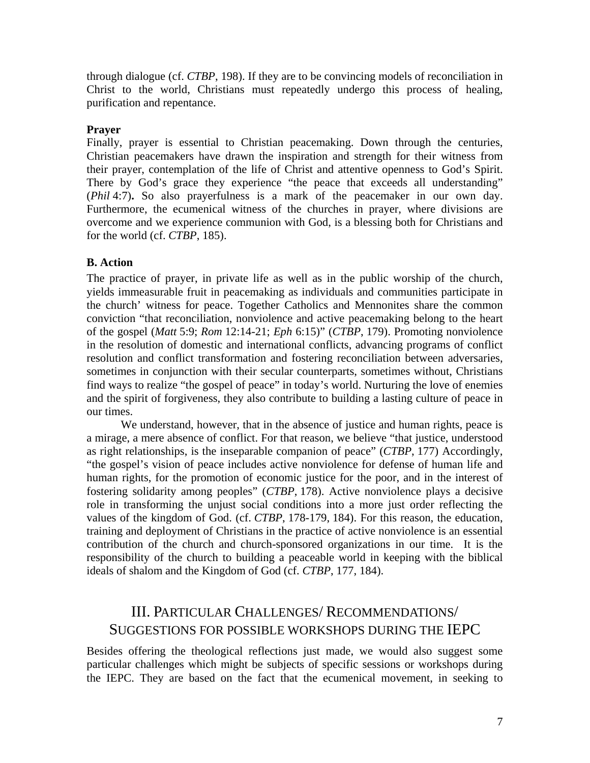through dialogue (cf. *CTBP*, 198). If they are to be convincing models of reconciliation in Christ to the world, Christians must repeatedly undergo this process of healing, purification and repentance.

### **Prayer**

Finally, prayer is essential to Christian peacemaking. Down through the centuries, Christian peacemakers have drawn the inspiration and strength for their witness from their prayer, contemplation of the life of Christ and attentive openness to God's Spirit. There by God's grace they experience "the peace that exceeds all understanding" (*Phil* 4:7)**.** So also prayerfulness is a mark of the peacemaker in our own day. Furthermore, the ecumenical witness of the churches in prayer, where divisions are overcome and we experience communion with God, is a blessing both for Christians and for the world (cf. *CTBP*, 185).

### **B. Action**

The practice of prayer, in private life as well as in the public worship of the church, yields immeasurable fruit in peacemaking as individuals and communities participate in the church' witness for peace. Together Catholics and Mennonites share the common conviction "that reconciliation, nonviolence and active peacemaking belong to the heart of the gospel (*Matt* 5:9; *Rom* 12:14-21; *Eph* 6:15)" (*CTBP*, 179). Promoting nonviolence in the resolution of domestic and international conflicts, advancing programs of conflict resolution and conflict transformation and fostering reconciliation between adversaries, sometimes in conjunction with their secular counterparts, sometimes without, Christians find ways to realize "the gospel of peace" in today's world. Nurturing the love of enemies and the spirit of forgiveness, they also contribute to building a lasting culture of peace in our times.

We understand, however, that in the absence of justice and human rights, peace is a mirage, a mere absence of conflict. For that reason, we believe "that justice, understood as right relationships, is the inseparable companion of peace" (*CTBP*, 177) Accordingly, "the gospel's vision of peace includes active nonviolence for defense of human life and human rights, for the promotion of economic justice for the poor, and in the interest of fostering solidarity among peoples" (*CTBP*, 178). Active nonviolence plays a decisive role in transforming the unjust social conditions into a more just order reflecting the values of the kingdom of God. (cf. *CTBP*, 178-179, 184). For this reason, the education, training and deployment of Christians in the practice of active nonviolence is an essential contribution of the church and church-sponsored organizations in our time. It is the responsibility of the church to building a peaceable world in keeping with the biblical ideals of shalom and the Kingdom of God (cf. *CTBP*, 177, 184).

# III. PARTICULAR CHALLENGES/ RECOMMENDATIONS/ SUGGESTIONS FOR POSSIBLE WORKSHOPS DURING THE IEPC

Besides offering the theological reflections just made, we would also suggest some particular challenges which might be subjects of specific sessions or workshops during the IEPC. They are based on the fact that the ecumenical movement, in seeking to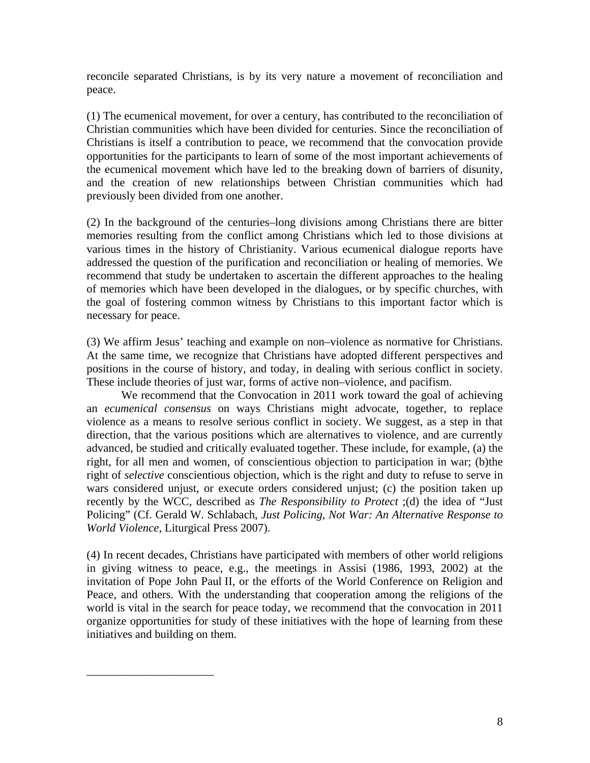reconcile separated Christians, is by its very nature a movement of reconciliation and peace.

(1) The ecumenical movement, for over a century, has contributed to the reconciliation of Christian communities which have been divided for centuries. Since the reconciliation of Christians is itself a contribution to peace, we recommend that the convocation provide opportunities for the participants to learn of some of the most important achievements of the ecumenical movement which have led to the breaking down of barriers of disunity, and the creation of new relationships between Christian communities which had previously been divided from one another.

(2) In the background of the centuries–long divisions among Christians there are bitter memories resulting from the conflict among Christians which led to those divisions at various times in the history of Christianity. Various ecumenical dialogue reports have addressed the question of the purification and reconciliation or healing of memories. We recommend that study be undertaken to ascertain the different approaches to the healing of memories which have been developed in the dialogues, or by specific churches, with the goal of fostering common witness by Christians to this important factor which is necessary for peace.

(3) We affirm Jesus' teaching and example on non–violence as normative for Christians. At the same time, we recognize that Christians have adopted different perspectives and positions in the course of history, and today, in dealing with serious conflict in society. These include theories of just war, forms of active non–violence, and pacifism.

We recommend that the Convocation in 2011 work toward the goal of achieving an *ecumenical consensus* on ways Christians might advocate, together, to replace violence as a means to resolve serious conflict in society. We suggest, as a step in that direction, that the various positions which are alternatives to violence, and are currently advanced, be studied and critically evaluated together. These include, for example, (a) the right, for all men and women, of conscientious objection to participation in war; (b)the right of *selective* conscientious objection, which is the right and duty to refuse to serve in wars considered unjust, or execute orders considered unjust; (c) the position taken up recently by the WCC, described as *The Responsibility to Protect* ;(d) the idea of "Just Policing" (Cf. Gerald W. Schlabach, *Just Policing, Not War: An Alternative Response to World Violence*, Liturgical Press 2007).

(4) In recent decades, Christians have participated with members of other world religions in giving witness to peace, e.g., the meetings in Assisi (1986, 1993, 2002) at the invitation of Pope John Paul II, or the efforts of the World Conference on Religion and Peace, and others. With the understanding that cooperation among the religions of the world is vital in the search for peace today, we recommend that the convocation in 2011 organize opportunities for study of these initiatives with the hope of learning from these initiatives and building on them.

––––––––––––––––––––––